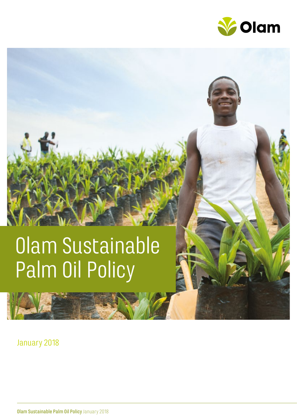

# Olam Sustainable Palm Oil Policy

### January 2018

Olam Sustainable Palm Oil Policy January 2018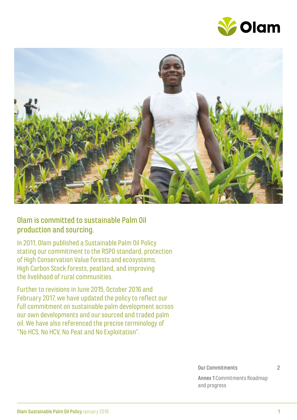



#### Olam is committed to sustainable Palm Oil production and sourcing.

In 2011, Olam published a Sustainable Palm Oil Policy stating our commitment to the RSPO standard, protection of High Conservation Value forests and ecosystems, High Carbon Stock forests, peatland, and improving the livelihood of rural communities.

Further to revisions in June 2015, October 2016 and February 2017, we have updated the policy to reflect our full commitment on sustainable palm development across our own developments and our sourced and traded palm oil. We have also referenced the precise terminology of "No HCS, No HCV, No Peat and No Exploitation".

Our Commitments 2

Annex 1 Commitments Roadmap and progress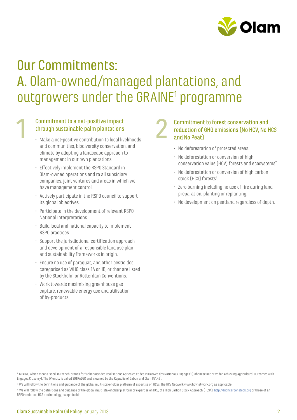

# Our Commitments: A. Olam-owned/managed plantations, and outgrowers under the GRAINE<sup>1</sup> programme

#### Commitment to a net-positive impact through sustainable palm plantations Commitment to a net-positive impact<br>through sustainable palm plantations<br>Make a net-positive contribution to local livelihoods

- Make a net-positive contribution to local livelihoods and communities, biodiversity conservation, and climate by adopting a landscape approach to management in our own plantations.
- Effectively implement the RSPO Standard in Olam-owned operations and to all subsidiary companies, joint ventures and areas in which we have management control.
- Actively participate in the RSPO council to support its global objectives.
- Participate in the development of relevant RSPO National Interpretations.
- Build local and national capacity to implement RSPO practices.
- Support the jurisdictional certification approach and development of a responsible land use plan and sustainability frameworks in origin.
- Ensure no use of paraquat, and other pesticides categorised as WHO class 1A or 1B, or that are listed by the Stockholm or Rotterdam Conventions.
- Work towards maximising greenhouse gas capture, renewable energy use and utilisation of by-products.

#### Commitment to forest conservation and reduction of GHG emissions (No HCV, No HCS and No Peat)

- No deforestation of protected areas.
- No deforestation or conversion of high conservation value (HCV) forests and ecosystems<sup>2</sup>. .<br>.
- No deforestation or conversion of high carbon stock (HCS) forests<sup>3</sup>.
- Zero burning including no use of fire during land preparation, planting or replanting.
- No development on peatland regardless of depth.

<sup>1</sup> GRAINE, which means 'seed' in French, stands for 'Gabonaise des Realisations Agricoles et des Initiatives des Nationaux Engages' (Gabonese Initiative for Achieving Agricultural Outcomes with Engaged Citizenry). The JV entity is called SOTRADER and is owned by the Republic of Gabon and Olam (51:49).

<sup>&</sup>lt;sup>2</sup> We will follow the definitions and guidance of the global multi-stakeholder platform of expertise on HCVs, the HCV Network www.hcvnetwork.org as applicable

 $^{\rm 3}$  We will follow the definitions and guidance of the global multi-stakeholder platform of expertise on HCS, the High Carbon Stock Approach (HCSA), <u>http://highcarbonstock.org</u> or those of an RSPO-endorsed HCS methodology, as applicable.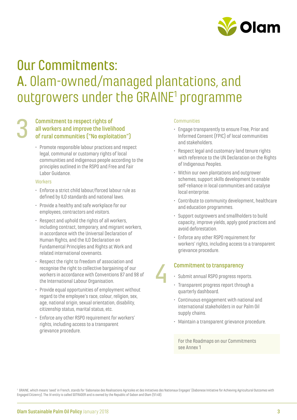

# Our Commitments: A. Olam-owned/managed plantations, and outgrowers under the GRAINE<sup>1</sup> programme

#### Commitment to respect rights of all workers and improve the livelihood of rural communities ("No exploitation") 3

• Promote responsible labour practices and respect legal, communal or customary rights of local communities and indigenous people according to the principles outlined in the RSPO and Free and Fair Labor Guidance.

#### **Workers**

- Enforce a strict child labour/forced labour rule as defined by ILO standards and national laws.
- Provide a healthy and safe workplace for our employees, contractors and visitors.
- Respect and uphold the rights of all workers, including contract, temporary, and migrant workers, in accordance with the Universal Declaration of Human Rights, and the ILO Declaration on Fundamental Principles and Rights at Work and related international covenants.
- Respect the right to freedom of association and recognise the right to collective bargaining of our workers in accordance with Conventions 87 and 98 of the International Labour Organisation.
- Provide equal opportunities of employment without regard to the employee's race, colour, religion, sex, age, national origin, sexual orientation, disability, citizenship status, marital status, etc.
- Enforce any other RSPO requirement for workers' rights, including access to a transparent grievance procedure.

#### **Communities**

- Engage transparently to ensure Free, Prior and Informed Consent (FPIC) of local communities and stakeholders.
- Respect legal and customary land tenure rights with reference to the UN Declaration on the Rights of Indigenous Peoples.
- Within our own plantations and outgrower schemes, support skills development to enable self-reliance in local communities and catalyse local enterprise.
- Contribute to community development, healthcare and education programmes.
- Support outgrowers and smallholders to build capacity, improve yields, apply good practices and avoid deforestation.
- Enforce any other RSPO requirement for workers' rights, including access to a transparent grievance procedure.

#### Commitment to transparency

- Submit annual RSPO progress reports.
- Transparent progress report through a quarterly dashboard.
- Continuous engagement with national and international stakeholders in our Palm Oil supply chains.
- Maintain a transparent grievance procedure.

For the Roadmaps on our Commitments see Annex 1

<sup>1</sup> GRAINE, which means 'seed' in French, stands for 'Gabonaise des Realisations Agricoles et des Initiatives des Nationaux Engages' (Gabonese Initiative for Achieving Agricultural Outcomes with Engaged Citizenry). The JV entity is called SOTRADER and is owned by the Republic of Gabon and Olam (51:49).

4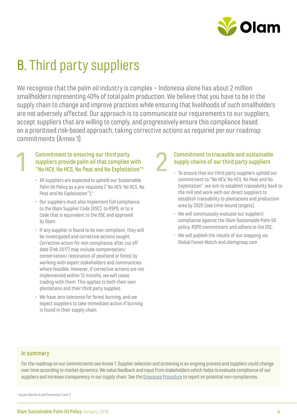

# B. Third party suppliers

We recognise that the palm oil industry is complex – Indonesia alone has about 2 million smallholders representing 40% of total palm production. We believe that you have to be in the supply chain to change and improve practices while ensuring that livelihoods of such smallholders are not adversely affected. Our approach is to communicate our requirements to our suppliers, accept suppliers that are willing to comply, and progressively ensure this compliance based on a prioritised risk-based approach, taking corrective actions as required per our roadmap commitments (Annex 1).

#### Commitment to ensuring our third party suppliers provide palm oil that complies with "No HCV, No HCS, No Peat and No Exploitation"4

- All suppliers are expected to uphold our Sustainable Palm Oil Policy as a pre-requisite ("No HCV, No HCS, No Peat and No Exploitation").<sup>4</sup>
- Our suppliers must also implement full compliance to the Olam Supplier Code (OSC), to RSPO, or to a Code that is equivalent to the OSC and approved by Olam.
- If any supplier is found to be non-compliant, they will be investigated and corrective actions sought. Corrective action for non-compliance after cut off date (Feb 2017) may include compensation/ conservation/ restoration of peatland or forest by working with expert stakeholders and communities where feasible. However, if corrective actions are not implemented within 12 months, we will cease trading with them. This applies to both their own plantations and their third party supplies.
- We have zero tolerance for forest burning, and we expect suppliers to take immediate action if burning is found in their supply chain.

#### Commitment to traceable and sustainable supply chains of our third party suppliers 2

- To ensure that our third party suppliers uphold our commitment to "No HCV, No HCS, No Peat and No Exploitation", we aim to establish traceability back to the mill and work with our direct suppliers to establish traceability to plantations and production area by 2020 (see time-bound targets).
	- We will continuously evaluate our suppliers' compliance against the Olam Sustainable Palm Oil policy, RSPO commitment and adhere to the OSC.
- We will publish the results of our mapping via Global Forest Watch and olamgroup.com

#### In summary

1

For the roadmap on our commitments see Annex 1. Supplier selection and screening is an ongoing process and suppliers could change over time according to market dynamics. We value feedback and input from stakeholders which helps to evaluate compliance of our suppliers and increase transparency in our supply chain. See the Grievance Procedure to report on potential non-compliances.

<sup>4</sup> As per Section A and footnotes 2 and 3.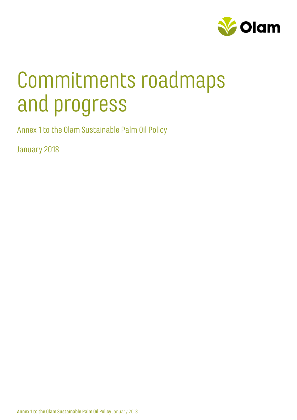

# Commitments roadmaps and progress

Annex 1 to the Olam Sustainable Palm Oil Policy

January 2018

Annex 1 to the Olam Sustainable Palm Oil Policy January 2018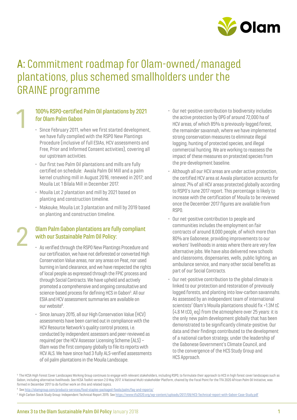

## A: Commitment roadmap for Olam-owned / managed plantations, plus schemed smallholders under the GRAINE programme

#### 100% RSPO-certified Palm Oil plantations by 2021 for Olam Palm Gabon

1

2

- Since February 2011, when we first started development, we have fully complied with the RSPO New Plantings Procedure (inclusive of full ESIAs, HCV assessments and Free, Prior and Informed Consent activities), covering all our upstream activities.
- Our first two Palm Oil plantations and mills are fully certified on schedule: Awala Palm Oil Mill and a palm kernel crushing mill in August 2016, renewed in 2017; and Mouila Lot 1 Bilala Mill in December 2017.
- Mouila Lot 2 plantation and mill by 2021 based on planting and construction timeline.
- Makouke, Mouila Lot 3 plantation and mill by 2019 based on planting and construction timeline.

#### Olam Palm Gabon plantations are fully compliant with our Sustainable Palm Oil Policy:

- As verified through the RSPO New Plantings Procedure and our certification, we have not deforested or converted High Conservation Value areas, nor any areas on Peat, nor used burning in land clearance, and we have respected the rights of local people as expressed through the FPIC process and through Social Contracts. We have upheld and actively promoted a comprehensive and ongoing consultative and science-based process for defining HCS in Gabon<sup>5</sup>. All our ESIA and HCV assessment summaries are available on our website<sup>6</sup> .
- Since January 2015, all our High Conservation Value (HCV) assessments have been carried out in compliance with the HCV Resource Network's quality control process, i.e. conducted by independent assessors and peer-reviewed as required per the HCV Assessor Licensing Scheme (ALS) – Olam was the first company globally to file its reports with HCV ALS. We have since had 3 fully ALS-verified assessments of oil palm plantations in the Mouila Landscape.
- Our net-positive contribution to biodiversity includes the active protection by OPG of around 72,000 ha of HCV areas, of which 85%is previously-logged forest, the remainder savannah, where we have implemented strong conservation measures to eliminate illegal logging, hunting of protected species, and illegal commercial hunting.We are working to reassess the impact of these measures on protected species from the pre-development baseline.
- Although all our HCV areas are under active protection, the certified HCV area at Awala plantation accounts for almost 7% of all HCV areas protected globally according to RSPO's June 2017 report. This percentage is likely to increase with the certification of Mouila to be reviewed once the December 2017 figures are available from RSPO.
- Our net-positive contribution to people and communities includes the employment on fair contracts of around 8,000 people, of which more than 80% are Gabonese, providing improvements to our workers' livelihoods in areas where there are very few alternative jobs. We have also delivered new schools and classrooms, dispensaries, wells, public lighting, an ambulance service, and many other social benefits as part of our Social Contracts.
- Our net-positive contribution to the global climate is linked to our protection and restoration of previously logged forests, and planting into low-carbon savannahs. As assessed by an independent team of international scientists<sup>7</sup> Olam's Mouila plantations should fix > 1.3M tC  $(4.8 \text{ M }$ tCO $_2$  eq) from the atmosphere over 25 years: it is the only new palm development globally that has been demonstrated to be significantly climate-positive. Our data and their findings contributed to the development of a national carbon strategy, under the leadership of the Gabonese Government's Climate Council, and to the convergence of the HCS Study Group and HCS Approach.

<sup>&</sup>lt;sup>5</sup> The HCSA High Forest Cover Landscapes Working Group continues to engage with relevant stakeholders, including RSPO, to formulate their approach to HCS in high forest cover landscapes such as Gabon, including alternative livelihoods. See HCSA Toolkit version 2.0 May 2017. A National Multi-stakeholder Platform, chaired by the Focal Point for the TFA 2020 African Palm Oil Initiative, was formed in December 2017 to do further work on this and related topics.

<sup>6</sup> See http://olamgroup.com/products-services/food-staples-packaged-foods/palm/faq-and-reports/

<sup>7</sup> High Carbon Stock Study Group: Independent Technical Report 2015. See https://www.tfa2020.org/wp-content/uploads/2017/09/HCS-Technical-report-with-Gabon-Case-Study.pdf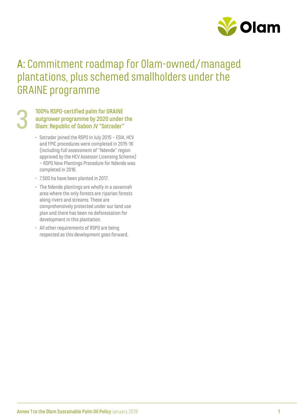

## A: Commitment roadmap for Olam-owned / managed plantations, plus schemed smallholders under the GRAINE programme

#### 100% RSPO-certified palm for GRAINE outgrower programme by 2020 under the Olam: Republic of Gabon JV "Sotrader" 3

- Sotrader joined the RSPO in July 2015 ESIA, HCV and FPIC procedures were completed in 2015-16 (including full assessment of "Ndende" region approved by the HCV Assessor Licensing Scheme) – RSPO New Plantings Procedure for Ndende was completed in 2016.
- 7,500 ha have been planted in 2017.
- The Ndende plantings are wholly in a savannah area where the only forests are riparian forests along rivers and streams. These are comprehensively protected under our land use plan and there has been no deforestation for development in this plantation.
- All other requirements of RSPO are being respected as this development goes forward.